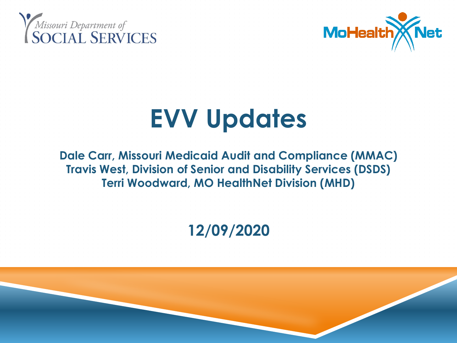



# **EVV Updates**

**Dale Carr, Missouri Medicaid Audit and Compliance (MMAC) Travis West, Division of Senior and Disability Services (DSDS) Terri Woodward, MO HealthNet Division (MHD)**

**12/09/2020**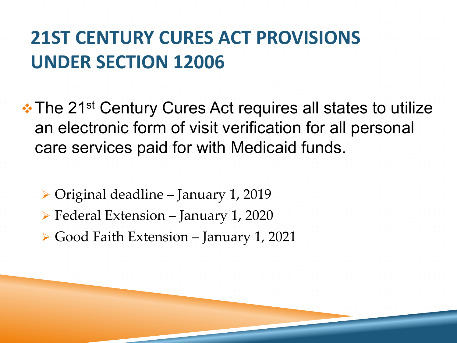#### **21ST CENTURY CURES ACT PROVISIONS UNDER SECTION 12006**

• The 21<sup>st</sup> Century Cures Act requires all states to utilize an electronic form of visit verification for all personal care services paid for with Medicaid funds.

 Original deadline – January 1, 2019 Federal Extension – January 1, 2020 ► Good Faith Extension – January 1, 2021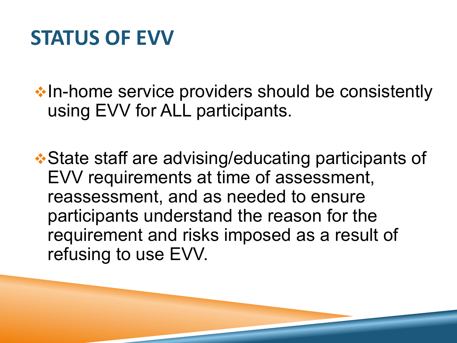#### **STATUS OF EVV**

•In-home service providers should be consistently using EVV for ALL participants.

State staff are advising/educating participants of EVV requirements at time of assessment, reassessment, and as needed to ensure participants understand the reason for the requirement and risks imposed as a result of refusing to use EVV.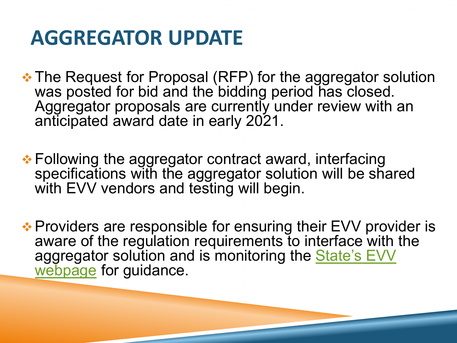# **AGGREGATOR UPDATE**

 **\*\* The Request for Proposal (RFP) for the aggregator solution** was posted for bid and the bidding period has closed. Aggregator proposals are currently under review with an anticipated award date in early 2021.

**• Following the aggregator contract award, interfacing** specifications with the aggregator solution will be shared with EVV vendors and testing will begin.

**Exaller A** Providers are responsible for ensuring their EVV provider is aware of the regulation requirements to interface with the [aggregator solution and is monitoring the State's EVV](https://dss.mo.gov/mhd/providers/electronic-visit-verification.htm)  webpage for guidance.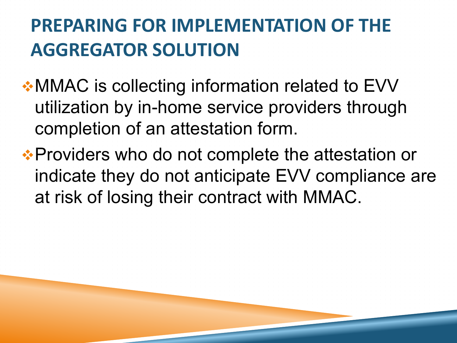# **PREPARING FOR IMPLEMENTATION OF THE AGGREGATOR SOLUTION**

 $\cdot$  **MMAC** is collecting information related to EVV utilization by in-home service providers through completion of an attestation form.

**. • Providers who do not complete the attestation or** indicate they do not anticipate EVV compliance are at risk of losing their contract with MMAC.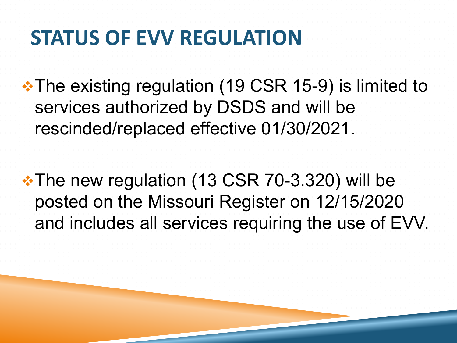# **STATUS OF EVV REGULATION**

**\*The existing regulation (19 CSR 15-9) is limited to** services authorized by DSDS and will be rescinded/replaced effective 01/30/2021.

The new regulation (13 CSR 70-3.320) will be posted on the Missouri Register on 12/15/2020 and includes all services requiring the use of EVV.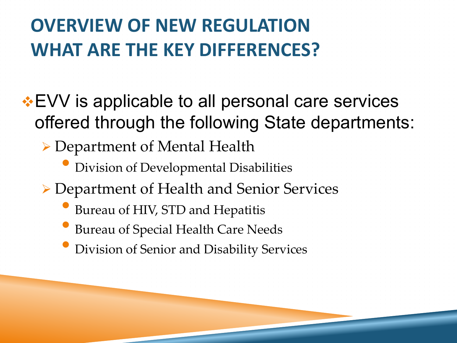**EVV** is applicable to all personal care services offered through the following State departments:

- ▶ Department of Mental Health
	- Division of Developmental Disabilities
- Department of Health and Senior Services
	- Bureau of HIV, STD and Hepatitis
	- Bureau of Special Health Care Needs
		- Division of Senior and Disability Services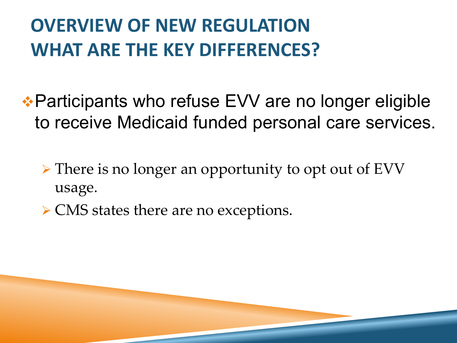Participants who refuse EVV are no longer eligible to receive Medicaid funded personal care services.

 There is no longer an opportunity to opt out of EVV usage.

**► CMS states there are no exceptions.**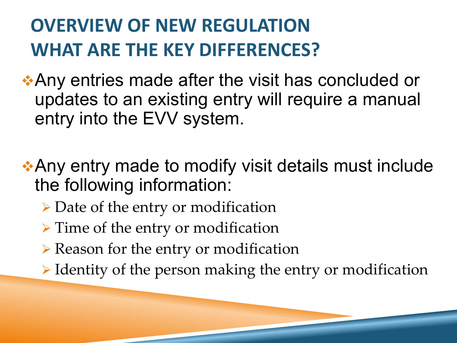**Any entries made after the visit has concluded or** ♦ updates to an existing entry will require a manual entry into the EVV system.

**Any entry made to modify visit details must include** ◆ the following information:

- Date of the entry or modification
- > Time of the entry or modification
- $\triangleright$  Reason for the entry or modification
- $\triangleright$  Identity of the person making the entry or modification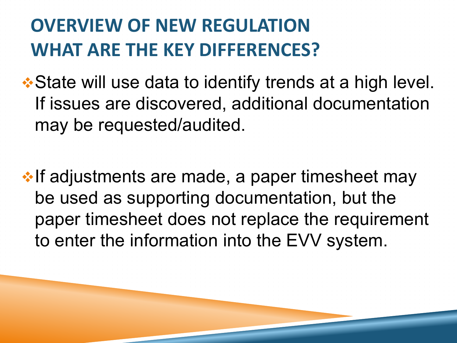**. • State will use data to identify trends at a high level.** If issues are discovered, additional documentation may be requested/audited.

 $\cdot$  If adjustments are made, a paper timesheet may be used as supporting documentation, but the paper timesheet does not replace the requirement to enter the information into the EVV system.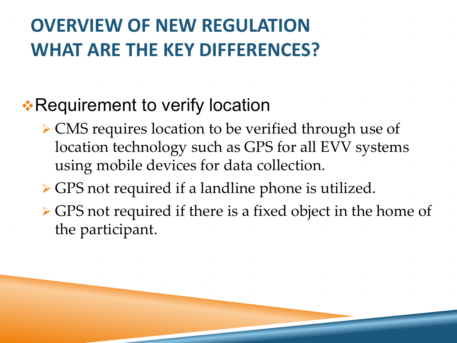#### \*Requirement to verify location

- ▶ CMS requires location to be verified through use of location technology such as GPS for all EVV systems using mobile devices for data collection.
- GPS not required if a landline phone is utilized.
- GPS not required if there is a fixed object in the home of the participant.